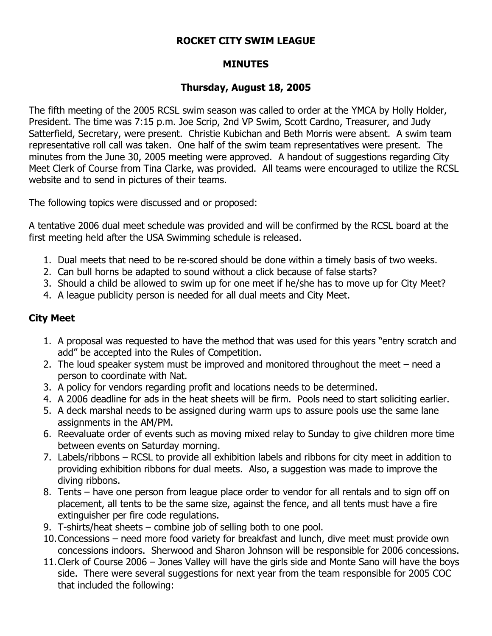## **ROCKET CITY SWIM LEAGUE**

## **MINUTES**

## **Thursday, August 18, 2005**

The fifth meeting of the 2005 RCSL swim season was called to order at the YMCA by Holly Holder, President. The time was 7:15 p.m. Joe Scrip, 2nd VP Swim, Scott Cardno, Treasurer, and Judy Satterfield, Secretary, were present. Christie Kubichan and Beth Morris were absent. A swim team representative roll call was taken. One half of the swim team representatives were present. The minutes from the June 30, 2005 meeting were approved. A handout of suggestions regarding City Meet Clerk of Course from Tina Clarke, was provided. All teams were encouraged to utilize the RCSL website and to send in pictures of their teams.

The following topics were discussed and or proposed:

A tentative 2006 dual meet schedule was provided and will be confirmed by the RCSL board at the first meeting held after the USA Swimming schedule is released.

- 1. Dual meets that need to be re-scored should be done within a timely basis of two weeks.
- 2. Can bull horns be adapted to sound without a click because of false starts?
- 3. Should a child be allowed to swim up for one meet if he/she has to move up for City Meet?
- 4. A league publicity person is needed for all dual meets and City Meet.

## **City Meet**

- 1. A proposal was requested to have the method that was used for this years "entry scratch and add" be accepted into the Rules of Competition.
- 2. The loud speaker system must be improved and monitored throughout the meet need a person to coordinate with Nat.
- 3. A policy for vendors regarding profit and locations needs to be determined.
- 4. A 2006 deadline for ads in the heat sheets will be firm. Pools need to start soliciting earlier.
- 5. A deck marshal needs to be assigned during warm ups to assure pools use the same lane assignments in the AM/PM.
- 6. Reevaluate order of events such as moving mixed relay to Sunday to give children more time between events on Saturday morning.
- 7. Labels/ribbons RCSL to provide all exhibition labels and ribbons for city meet in addition to providing exhibition ribbons for dual meets. Also, a suggestion was made to improve the diving ribbons.
- 8. Tents have one person from league place order to vendor for all rentals and to sign off on placement, all tents to be the same size, against the fence, and all tents must have a fire extinguisher per fire code regulations.
- 9. T-shirts/heat sheets combine job of selling both to one pool.
- 10.Concessions need more food variety for breakfast and lunch, dive meet must provide own concessions indoors. Sherwood and Sharon Johnson will be responsible for 2006 concessions.
- 11.Clerk of Course 2006 Jones Valley will have the girls side and Monte Sano will have the boys side. There were several suggestions for next year from the team responsible for 2005 COC that included the following: